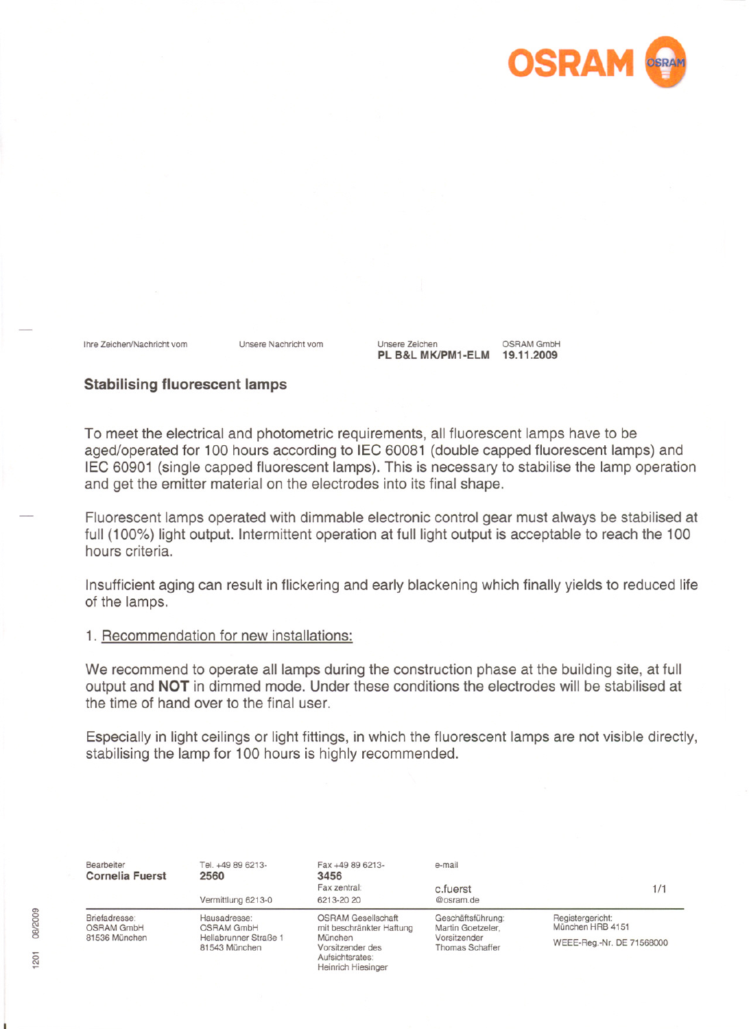

Ihre Zeichen/Nachricht vom Unsere Nachricht vom

Unsere Zeichen OSRAM GmbH PL B&L MK/PM1-ELM 19.11.2009

## Stabilising fluorescent lamps

To meet the electrical and photometric requirements, all fluorescent lamps have to be aged/operated for 100 hours according to lEG 60081 (double capped fluorescent lamps) and lEG 60901 (single capped fluorescent lamps). This is necessary to stabilise the lamp operation and get the emitter material on the electrodes into its final shape.

Fluorescent lamps operated with dimmable electronic control gear must always be stabilised at full (100%) light output. Intermittent operation at full light output is acceptable to reach the 100 hours criteria.

Insufficient aging can result in flickering and early blackening which finally yields to reduced Iife of the lamps.

## 1. Recommendation for new installations:

We recommend to operate all lamps during the construction phase at the building site, at full output and NOT in dimmed mode. Under these conditions the electrodes will be stabilised at the time of hand over to the final user.

Especially in light ceilings or light fittings, in which the fluorescent lamps are not visible directly, stabilising the lamp for 100 hours is highly recommended.

|  | Bearbeiter<br><b>Cornelia Fuerst</b>                                                                                               | Tel. +49 89 6213-<br>2560<br>Vermittlung 6213-0 | Fax +49 89 6213-<br>3456<br>Fax zentral:<br>6213-20 20                                                                               | e-mail<br>c.fuerst<br>@osram.de                                                  | 1/1                                  |
|--|------------------------------------------------------------------------------------------------------------------------------------|-------------------------------------------------|--------------------------------------------------------------------------------------------------------------------------------------|----------------------------------------------------------------------------------|--------------------------------------|
|  | Briefadresse:<br>Hausadresse:<br><b>OSRAM GmbH</b><br><b>OSRAM GmbH</b><br>81536 München<br>Hellabrunner Straße 1<br>81543 München |                                                 | <b>OSRAM Gesellschaft</b><br>mit beschränkter Haftung<br>München<br>Vorsitzender des<br>Aufsichtsrates:<br><b>Heinrich Hiesinger</b> | Geschäftsführung:<br>Martin Goetzeler,<br>Vorsitzender<br><b>Thomas Schaffer</b> | Registergericht:<br>München HRB 4151 |
|  |                                                                                                                                    |                                                 |                                                                                                                                      |                                                                                  | WEEE-Reg.-Nr. DE 71568000            |